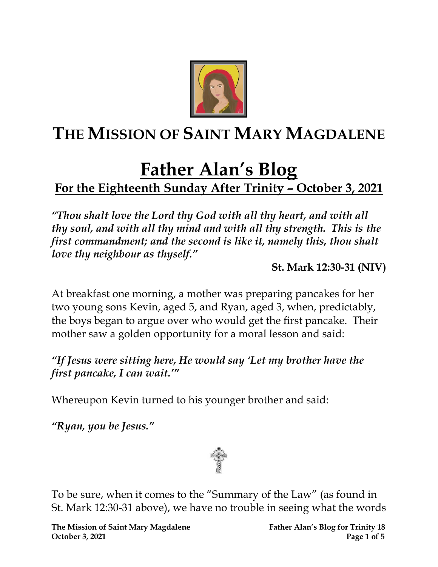

## **THE MISSION OF SAINT MARY MAGDALENE**

# **Father Alan's Blog**

## **For the Eighteenth Sunday After Trinity – October 3, 2021**

*"Thou shalt love the Lord thy God with all thy heart, and with all thy soul, and with all thy mind and with all thy strength. This is the first commandment; and the second is like it, namely this, thou shalt love thy neighbour as thyself."*

**St. Mark 12:30-31 (NIV)**

At breakfast one morning, a mother was preparing pancakes for her two young sons Kevin, aged 5, and Ryan, aged 3, when, predictably, the boys began to argue over who would get the first pancake. Their mother saw a golden opportunity for a moral lesson and said:

### *"If Jesus were sitting here, He would say 'Let my brother have the first pancake, I can wait.'"*

Whereupon Kevin turned to his younger brother and said:

*"Ryan, you be Jesus."*



To be sure, when it comes to the "Summary of the Law" (as found in St. Mark 12:30-31 above), we have no trouble in seeing what the words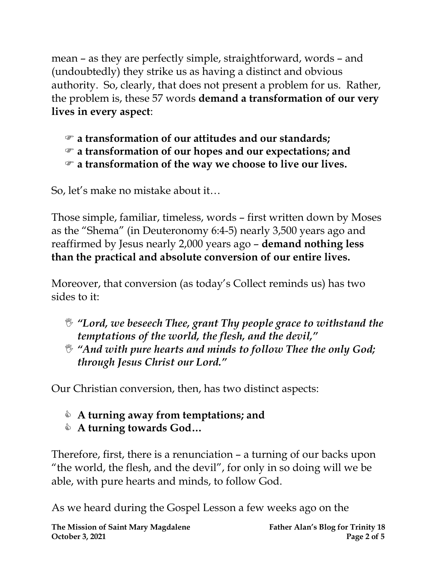mean – as they are perfectly simple, straightforward, words – and (undoubtedly) they strike us as having a distinct and obvious authority. So, clearly, that does not present a problem for us. Rather, the problem is, these 57 words **demand a transformation of our very lives in every aspect**:

- **a transformation of our attitudes and our standards;**
- **a transformation of our hopes and our expectations; and**
- **a transformation of the way we choose to live our lives.**

So, let's make no mistake about it…

Those simple, familiar, timeless, words – first written down by Moses as the "Shema" (in Deuteronomy 6:4-5) nearly 3,500 years ago and reaffirmed by Jesus nearly 2,000 years ago – **demand nothing less than the practical and absolute conversion of our entire lives.**

Moreover, that conversion (as today's Collect reminds us) has two sides to it:

- *"Lord, we beseech Thee, grant Thy people grace to withstand the temptations of the world, the flesh, and the devil, "*
- *"And with pure hearts and minds to follow Thee the only God; through Jesus Christ our Lord."*

Our Christian conversion, then, has two distinct aspects:

- **A turning away from temptations; and**
- **A turning towards God…**

Therefore, first, there is a renunciation – a turning of our backs upon "the world, the flesh, and the devil", for only in so doing will we be able, with pure hearts and minds, to follow God.

As we heard during the Gospel Lesson a few weeks ago on the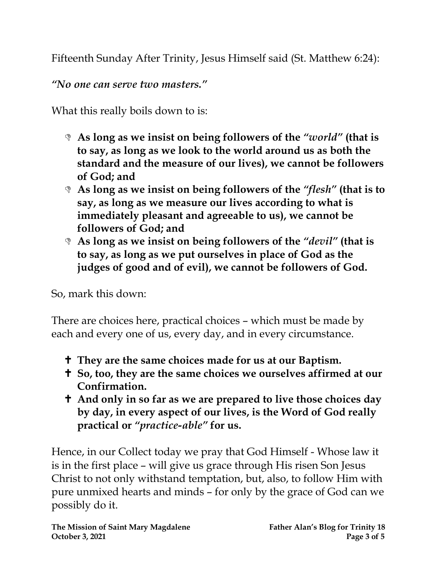Fifteenth Sunday After Trinity, Jesus Himself said (St. Matthew 6:24):

*"No one can serve two masters."*

What this really boils down to is:

- **As long as we insist on being followers of the** *"world"* **(that is to say, as long as we look to the world around us as both the standard and the measure of our lives), we cannot be followers of God; and**
- **As long as we insist on being followers of the** *"flesh"* **(that is to say, as long as we measure our lives according to what is immediately pleasant and agreeable to us), we cannot be followers of God; and**
- **As long as we insist on being followers of the** *"devil"* **(that is to say, as long as we put ourselves in place of God as the judges of good and of evil), we cannot be followers of God.**

So, mark this down:

There are choices here, practical choices – which must be made by each and every one of us, every day, and in every circumstance.

- **They are the same choices made for us at our Baptism.**
- **So, too, they are the same choices we ourselves affirmed at our Confirmation.**
- **And only in so far as we are prepared to live those choices day by day, in every aspect of our lives, is the Word of God really practical or** *"practice-able"* **for us.**

Hence, in our Collect today we pray that God Himself - Whose law it is in the first place – will give us grace through His risen Son Jesus Christ to not only withstand temptation, but, also, to follow Him with pure unmixed hearts and minds – for only by the grace of God can we possibly do it.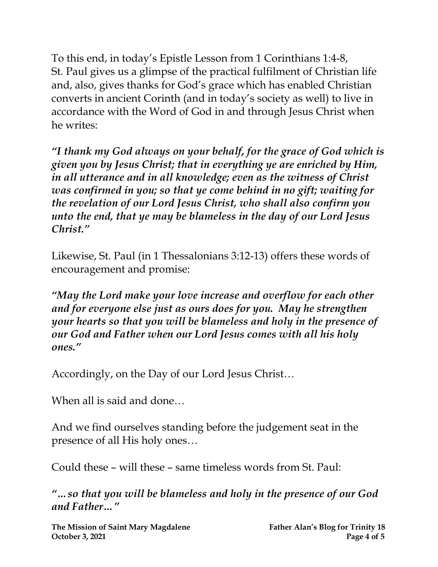To this end, in today's Epistle Lesson from 1 Corinthians 1:4-8, St. Paul gives us a glimpse of the practical fulfilment of Christian life and, also, gives thanks for God's grace which has enabled Christian converts in ancient Corinth (and in today's society as well) to live in accordance with the Word of God in and through Jesus Christ when he writes:

*"I thank my God always on your behalf, for the grace of God which is given you by Jesus Christ; that in everything ye are enriched by Him, in all utterance and in all knowledge; even as the witness of Christ was confirmed in you; so that ye come behind in no gift; waiting for the revelation of our Lord Jesus Christ, who shall also confirm you unto the end, that ye may be blameless in the day of our Lord Jesus Christ."*

Likewise, St. Paul (in 1 Thessalonians 3:12-13) offers these words of encouragement and promise:

*"May the Lord make your love increase and overflow for each other and for everyone else just as ours does for you. May he strengthen your hearts so that you will be blameless and holy in the presence of our God and Father when our Lord Jesus comes with all his holy ones."*

Accordingly, on the Day of our Lord Jesus Christ…

When all is said and done…

And we find ourselves standing before the judgement seat in the presence of all His holy ones…

Could these – will these – same timeless words from St. Paul:

*"…so that you will be blameless and holy in the presence of our God and Father…"*